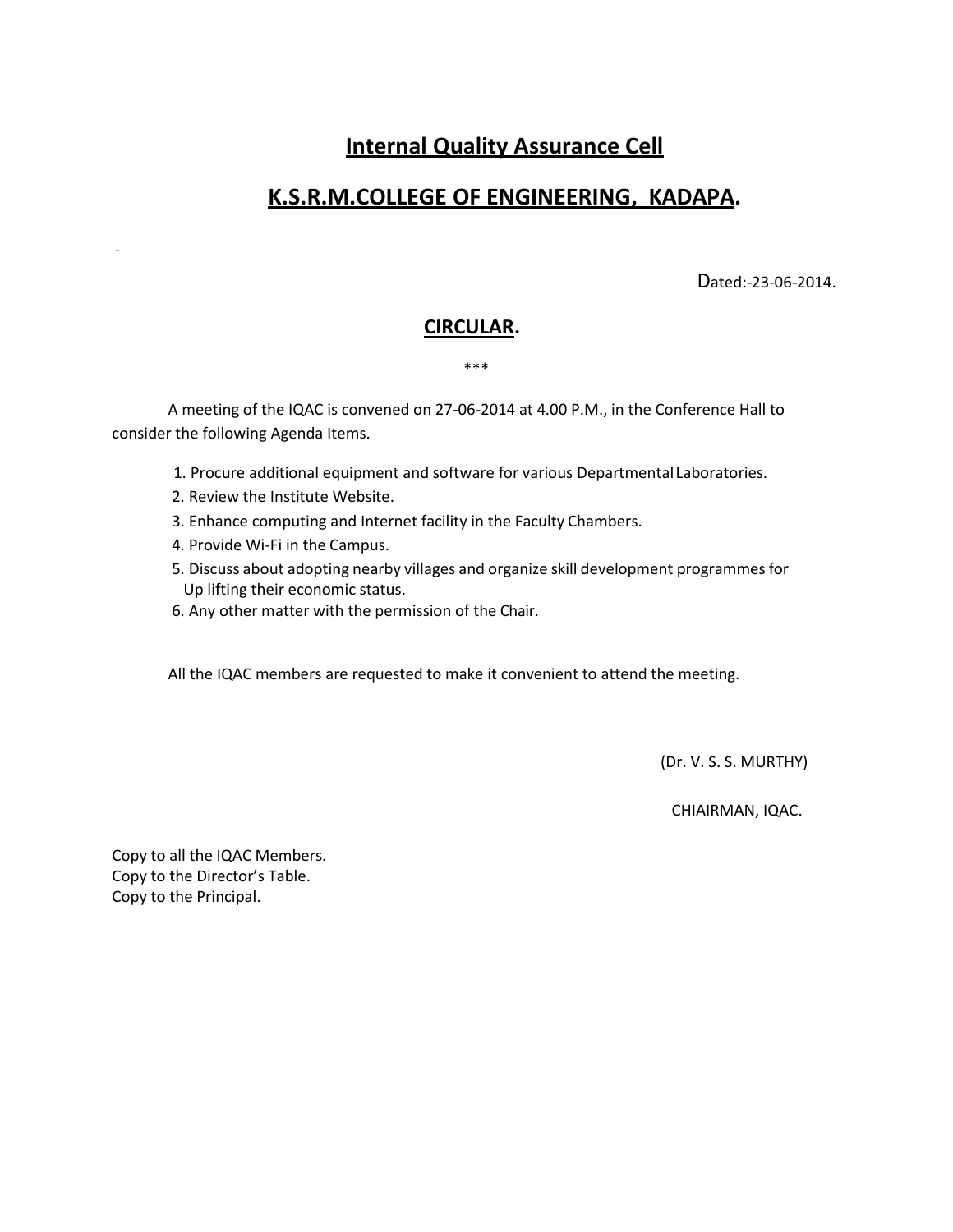# **Internal Quality Assurance Cell**

## **K.S.R.M.COLLEGE OF ENGINEERING, KADAPA.**

Dated:-23-06-2014.

### **CIRCULAR.**

#### \*\*\*

A meeting of the IQAC is convened on 27-06-2014 at 4.00 P.M., in the Conference Hall to consider the following Agenda Items.

- 1. Procure additional equipment and software for various Departmental Laboratories.
- 2. Review the Institute Website.
- 3. Enhance computing and Internet facility in the Faculty Chambers.
- 4. Provide Wi-Fi in the Campus.
- 5. Discuss about adopting nearby villages and organize skill development programmes for Up lifting their economic status.
- 6. Any other matter with the permission of the Chair.

All the IQAC members are requested to make it convenient to attend the meeting.

(Dr. V. S. S. MURTHY)

CHIAIRMAN, IQAC.

Copy to all the IQAC Members. Copy to the Director's Table. Copy to the Principal.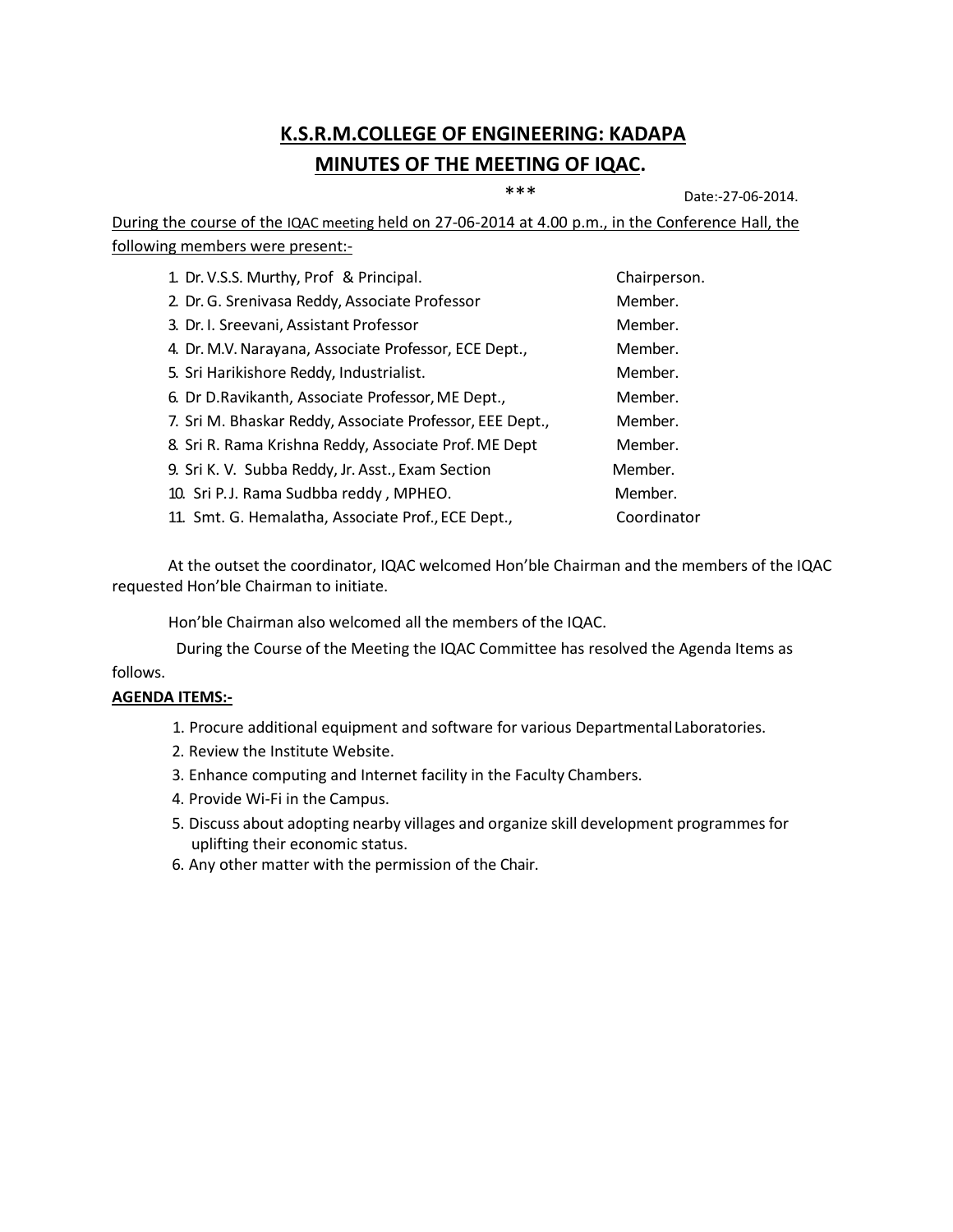# **K.S.R.M.COLLEGE OF ENGINEERING: KADAPA MINUTES OF THE MEETING OF IQAC.**

\*\*\* Date:-27-06-2014.

During the course of the IQAC meeting held on 27-06-2014 at 4.00 p.m., in the Conference Hall, the following members were present:-

| 1. Dr. V.S.S. Murthy, Prof & Principal.                  | Chairperson. |
|----------------------------------------------------------|--------------|
| 2. Dr. G. Srenivasa Reddy, Associate Professor           | Member.      |
| 3. Dr. I. Sreevani, Assistant Professor                  | Member.      |
| 4. Dr. M.V. Narayana, Associate Professor, ECE Dept.,    | Member.      |
| 5. Sri Harikishore Reddy, Industrialist.                 | Member.      |
| 6. Dr D. Ravikanth, Associate Professor, ME Dept.,       | Member.      |
| 7. Sri M. Bhaskar Reddy, Associate Professor, EEE Dept., | Member.      |
| 8. Sri R. Rama Krishna Reddy, Associate Prof. ME Dept    | Member.      |
| 9. Sri K. V. Subba Reddy, Jr. Asst., Exam Section        | Member.      |
| 10. Sri P.J. Rama Sudbba reddy, MPHEO.                   | Member.      |
| 11. Smt. G. Hemalatha, Associate Prof., ECE Dept.,       | Coordinator  |

At the outset the coordinator, IQAC welcomed Hon'ble Chairman and the members of the IQAC requested Hon'ble Chairman to initiate.

Hon'ble Chairman also welcomed all the members of the IQAC.

follows. During the Course of the Meeting the IQAC Committee has resolved the Agenda Items as

#### **AGENDA ITEMS:-**

- 1. Procure additional equipment and software for various DepartmentalLaboratories.
- 2. Review the Institute Website.
- 3. Enhance computing and Internet facility in the Faculty Chambers.
- 4. Provide Wi-Fi in the Campus.
- 5. Discuss about adopting nearby villages and organize skill development programmes for uplifting their economic status.
- 6. Any other matter with the permission of the Chair.